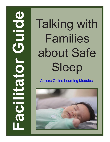**Families<br>
about Safe<br>
Sleep<br>
Access Online Learning Modules<br>
<b>Families**<br>
Sleep Families about Safe Sleep

[Access Online Learning Modules](https://www.easternct.edu/center-for-early-childhood-education/online-learning-modules.html)

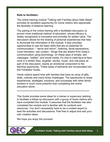## **Note to facilitator:**

The online training module "Talking with Families about Safe Sleep" provides an excellent opportunity for home visitors who appreciate the flexibility of distance learning.

The pairing of the online training with a facilitated discussion (a proven more traditional method of education, whose efficacy is widely recognized) is innovative and provides for added value. The discussion allows for the sharing of personal experiences that help to illuminate the information in the module. It also provides opportunities to use the basic skills that are so essential for communication – "serve and return", listening, facial expressions, vocal intonation, eye contact - things that are absent from today's communication using technology. (In these days of emails, text messages, "selfies", and social media, it's nice to meet face-to-face once in a while!) Also, laughter, stories, music, and role-plays as part of the discussion, injects an emotional component to the learning opportunity. These types of elements are incorporated into this Facilitator Guide.

Home visitors spend time with families that have an array of gifts, skills, cultures and many times challenges. The opportunity to share experiences, strategies, solutions, and successes with other family workers is much more powerful than completing the online education alone.

#### \*\*\*\*\*\*\*\*\*\*\*\*\*\*\*\*\*\*\*\*\*\*\*\*\*\*\*\*\*\*\*\*\*\*\*\*\*\*\*\*\*\*\*\*\*\*\*\*\*\*\*\*\*\*\*\*\*\*\*\*\*\*\*\*\*\*\*\*\*\*\*\*\*\*

This Guide provides some ideas for a trainer or supervisor wishing to facilitate a follow-up discussion with a group of home visitors who have completed the module. It assumes that the facilitator has also completed the module and is familiar with its contents and resources. You don't necessarily have to be a content expert to lead the activities and discussions. Feel free to adjust and add your own creative ideas.

We hope you enjoy the process!

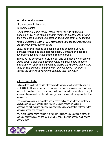# **Introduction/Icebreaker**

Play a segment of a lullaby.

Tell participants:

*While listening to this music, close your eyes and imagine a sleeping baby. Take this moment to relax and breathe deeply and allow the scene to bring you calm. (Fade music after 30 seconds.)* 

*Turn to a partner. Each of you may spend 30 seconds describing to the other what you saw in detail.*

Show additional images of sleeping babies snuggled up with blankets, or napping on a parent's chest. Compare and contrast several images and invite sharing from the group.

Introduce the concept of "Safe Sleep" and comment: *Not everyone thinks about a sleeping baby that looks like this*: (show image of infant lying on back in a crib with no blankets.) *Families may not be familiar with this idea, and that may make it difficult for them to accept the safe sleep recommendations that you share.* 

#### Note On Scare Tactics

Online videos exist that include interviews with parents who have lost babies due to SIDS/SUID. However, use of such stories to persuade families is not a strategy used in this module. Home visitors may think that sharing these with families might be a useful approach to get them to change their views on safe sleep and to follow precautions.

The research does not support the use of scare tactics as an effective strategy to elicit change for most people. This module focuses instead on building relationships with families, and sharing information in a way that is matched to their particular needs and concerns.

You might engage home visitors in a thoughtful discussion about this strategy at some point in this session and learn whether or not they are sharing such stories and/or videos.

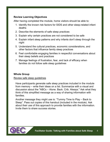# **Review Learning Objectives**

After having completed the module, home visitors should be able to:

- 1. Identify the known risk factors for SIDS and other sleep-related infant deaths
- 2. Describe the elements of safe sleep practices
- 3. Explain why certain practices are not considered to be safe
- 4. Explain infant sleep patterns and why infants don't sleep through the night
- 5. Understand the cultural practices, economic considerations, and other factors that influence family sleep practices
- 6. Feel comfortable engaging families in respectful conversations about their sleep beliefs and practices
- 7. Manage feelings of frustration, fear, and lack of efficacy when families do not follow safe sleep guidelines

# **Whole Group**

#### Review safe sleep guidelines

Have participants generate safe sleep practices included in the module from memory – write their ideas on a list. Summarize with a visual and discussion about the "ABCs – Alone. Back. Crib. Always." Ask what they think of this simplified message as a way of sharing information with families.

Another message they might use is: "Tummy Time to Play – Back to Sleep". Pass out copies of this handout (included in the module). Ask about their use of this approach to provide families with the information. Invite them to share success stories.

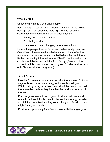# **Whole Group**

#### Uncover why this is a challenging topic

For a variety of reasons, home visitors may be unsure how to best approach or revisit this topic. Spend time reviewing several factors that might be of influence such as:

- Family and cultural practices
- Conflicting advice
- New research and changing recommendations

Include the perspectives of fathers and other family members. One video in the module included a home visitor's reflection about a mother whose partner wanted baby in bed with them. Reflect on sharing information about "best" practices when that conflicts with beliefs and advice from family. (Research has shown that this is a common reason given for why families drop out of home visitation programs.)

# **Small Groups**

Use the 7 conversation starters (found in the module). Cut into segments and pass one strategy out to each small group. Within their groups, have them read aloud the description. Ask them to reflect on how they have handled a similar scenario in the past.

Encourage someone in each group to share their story and relate how it went. Invite them to discuss the strategy provided and think about a families they are working with for whom this might be a good match.

Provide an opportunity for a few to share with the larger group.

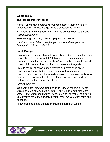# **Whole Group**

The feelings this work elicits

Home visitors may not always feel competent if their efforts are unsuccessful. Prompt a large group discussion by asking:

*How does it make you feel when families do not follow safe sleep recommendations?*

To encourage sharing, a follow-up question could be:

*What are some of the strategies you use to address your own feelings that this work elicits?*

# **Small Groups**

Have one person in each small group share a brief story within their group about a family who didn't follow safe sleep guidelines. (Remind to maintain confidentiality.) Alternatively, you could provide copies of the family stories included in this guide (page 8).

Provide the list of conversation starters and have each group choose one that might be a good match for the particular circumstance. Invite small group discussions to help plan for how to approach the conversation from a place of curiosity and a desire to understand the family's perspectives.

Instruct them to:

*Try out the conversation with a partner – one in the role of home visitor, and the other as the parent – while other group members listen. Then, get feedback from colleagues at your table. In a followup conversation consider how it went. What did you learn from this exercise?* 

Allow reporting out to the larger group to spark discussion.

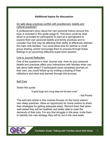# **Additional topics for discussion**

## Do safe sleep practices conflict with practitioners' beliefs and cultural practices?

A professional's story about her own personal history around this topic is included in this guide (page 9). This story could be read aloud or provided for participants to read as a springboard to explore their own personal beliefs and family practices and to consider how that may be affecting their ability to effectively address this topic with families. You could allow time for partner or small group sharing, and/or encourage them to process through these feelings in an upcoming reflective supervision session.

#### Link to Journal Reflection

One of the questions in their Journal was: How do your personal beliefs and practices affect your interactions with families when you talk about safe sleep? If participants have completed journals on their own, you could follow-up by inviting a sharing of their reflections and what was learned through this process.

#### Self Care

Share this quote:

"A good laugh and a long sleep are the best cures."

- Irish Proverb

The self-care article in this module focuses on the home visitors' own sleep practices. Allow an opportunity for home visitors to share their strategies for getting adequate sleep. Remind them that when well-rested they will be healthier and better able to meet the demands of their jobs. For any that struggle in this area, invite them to Identify one new strategy they will try out in the next week.

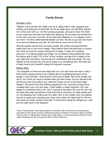## **Family Stories**

#### Michelle's Story

"William is five months old. Right now he is rolling side to side, laughing and smiling, and doing lots of baby talk. As far as sleep goes, we definitely wanted him in the room with us—for the nursing purposes, and just to have him there so we could see and hear him while he's sleeping. So we knew we wanted him in the room, but not in our bed. So he has been sleeping in a co-sleeper unit in our room—it's like a little bassinet beside our bed. And he is up every two hours or so and not sleeping very well. So we'd like to move him to his crib.

We have gotten advice from so many people. My mother and grandmother really want me to rock him to sleep—they believe that's the best way to nurture him. And as much as I enjoy rocking him to sleep, it really isn't working anymore—it is taking longer and longer. So we talked to the pediatrician, and his advice was to start "Cry it Out" at four months, and get him to sleep on his own right then and there, and we weren't comfortable with that either. So now William is five months old, and we're ready to try something new. We want him to learn how to put himself to sleep for long-term success."

#### Maria's Story

"Our daughter is three and has slept with us in our bed since she was a baby. I think there's always going to be conflicts about co-sleeping because some people—even doctors—recommend it and say it's better. But some people say not to. So I think you have to decide what you feel is best, but you should know all the pros and cons before you make the choice so you know what might happen. We were lucky that nothing happened to her, and we're trying not to co-sleep with Luca, our new baby. I think safety is really important. So Luca sleeps in a bassinet next to me, and I'm going to transition him into his own crib. He does take naps sometimes in the bed next to me when I'm wide awake and I'm not sleeping, but I make sure he's safe. He's in the middle, and I put pillows around to make sure, because you never know when he might start to roll over. And when his sister comes in the bed, if I think she's being too dangerous, I just put him right back in his bassinet."

These "Family Stories" were edited based on interviews with real families and professionals conducted by the Center for Early Childhood Education at Eastern Connecticut State University. They are part of "Talking With Families About Safe Sleep," an online learning module for home visitors developed for the Connecticut Office of Early Childhood.

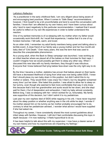#### LaKisha's Reflection

"As a practitioner in the early childhood field, I am very diligent about being aware of and encouraging best practices. When it comes to "Safe Sleep" recommendations, however, I find myself to be a bit uncomfortable and tend to avoid the conversation with families. I know that I am affected by my own history and I have been curious about why I tend to react negatively to this particular recommendation. I realized that it would be useful to reflect on my own life experiences in order to better understand this reaction.

One of my earliest memories is of co-sleeping with my mother when my father would occasionally work third-shift. As I recall that experience, I realize that it is one of my fondest memories: I felt safe, warm, and loved.

As an older child, I remember my adult family members being upset and talking about a terrible event. A close friend of our family was a young mother and her four-month-old baby died of "Crib Death." Over many years, this was the term that was used to describe this unexplainable phenomenon.

As a young adult, when the Back to Sleep campaign was launched, I was working as an infant teacher where we placed all of the babies on their tummies for their naps. I couldn't imagine how we would possibly get them to sleep any other way. When I discussed this new idea with my family members, they thought it was ridiculous. Everyone that I knew believed that lying babies face-down was the only right way to do it.

By the time I became a mother, statistics has proven that babies placed on their backs did have a decreased likelihood of dying from what was now being called SIDS. I knew that I should place my own baby down in this position, but didn't admit this to my mother or sisters. They would think I was crazy! So I tried it, but my daughter screamed every time I put her down. She hated this position. I was afraid to allow her to sleep on her tummy, even though she seemed to feel more comfortable that way (I only knew this because that's how her grandmother and aunts would lie her down, and she slept well for them.) Out of desperation and exhaustion, I held my baby almost constantly. Before long, I was co-sleeping with her—which worked for us, fortunately. My family was supportive of this decision, but I didn't admit it to my pediatrician.

Last year my own nephew died of SIDS while napping in his crib. I have never inquired about his sleep position or whether anything was in the crib while he slept. I wonder if his mother placed him on his tummy as her mother probably encouraged her to do, contrary to what her pediatrician advised...I wonder what advice I would have supplied if she had asked me.

Throughout my career, I have consistently shared the most current guidelines about infant sleep with families. However, I still don't feel comfortable discussing this topic in depth because—I'm now realizing—it feels hypocritical to do so.

It has been helpful to talk about this with my supervisor. I now have a clearer sense of my own history and how my experiences are impacting my feelings."